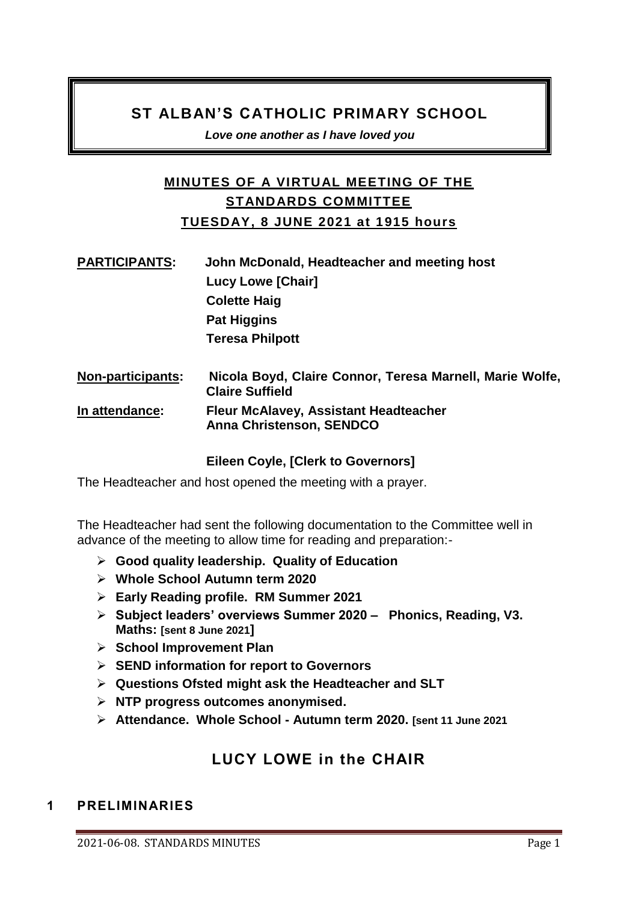# **ST ALBAN'S CATHOLIC PRIMARY SCHOOL**

*Love one another as I have loved you* 

# **MINUTES OF A VIRTUAL MEETING OF THE STANDARDS COMMITTEE TUESDAY, 8 JUNE 2021 at 1915 hours**

| <b>PARTICIPANTS:</b>     | John McDonald, Headteacher and meeting host              |
|--------------------------|----------------------------------------------------------|
|                          | <b>Lucy Lowe [Chair]</b>                                 |
|                          | <b>Colette Haig</b>                                      |
|                          | <b>Pat Higgins</b>                                       |
|                          | <b>Teresa Philpott</b>                                   |
| <b>Non-participants:</b> | Nicola Boyd, Claire Connor, Teresa Marnell, Marie Wolfe, |

#### **Claire Suffield In attendance: Fleur McAlavey, Assistant Headteacher Anna Christenson, SENDCO**

### **Eileen Coyle, [Clerk to Governors]**

The Headteacher and host opened the meeting with a prayer.

The Headteacher had sent the following documentation to the Committee well in advance of the meeting to allow time for reading and preparation:-

- **Good quality leadership. Quality of Education**
- **Whole School Autumn term 2020**
- **Early Reading profile. RM Summer 2021**
- **Subject leaders' overviews Summer 2020 Phonics, Reading, V3. Maths: [sent 8 June 2021]**
- **School Improvement Plan**
- **SEND information for report to Governors**
- **Questions Ofsted might ask the Headteacher and SLT**
- **NTP progress outcomes anonymised.**
- **Attendance. Whole School - Autumn term 2020. [sent 11 June 2021**

# **LUCY LOWE in the CHAIR**

## **1 PRELIMINARIES**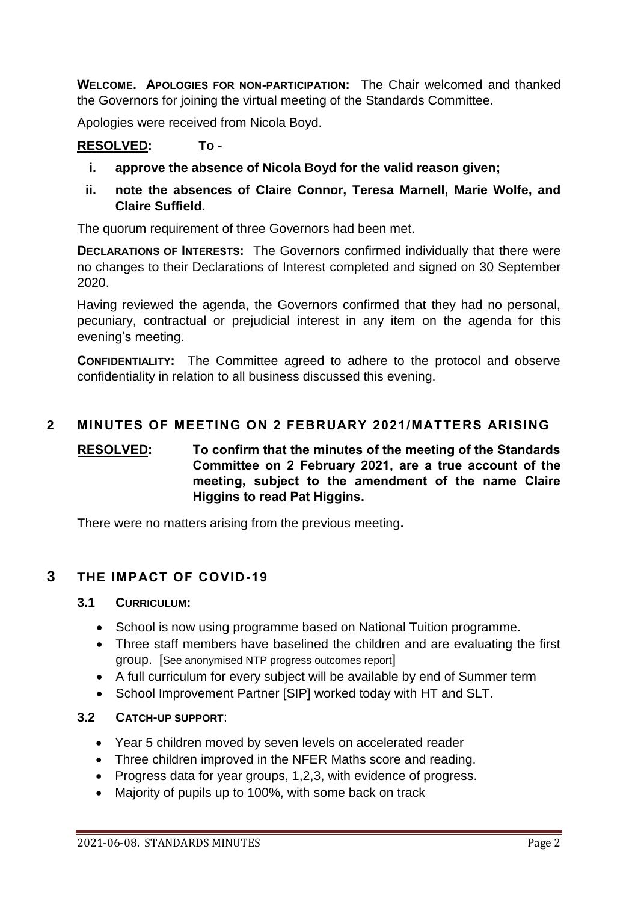**WELCOME. APOLOGIES FOR NON-PARTICIPATION:** The Chair welcomed and thanked the Governors for joining the virtual meeting of the Standards Committee.

Apologies were received from Nicola Boyd.

## **RESOLVED: To -**

- **i. approve the absence of Nicola Boyd for the valid reason given;**
- **ii. note the absences of Claire Connor, Teresa Marnell, Marie Wolfe, and Claire Suffield.**

The quorum requirement of three Governors had been met.

**DECLARATIONS OF INTERESTS:** The Governors confirmed individually that there were no changes to their Declarations of Interest completed and signed on 30 September 2020.

Having reviewed the agenda, the Governors confirmed that they had no personal, pecuniary, contractual or prejudicial interest in any item on the agenda for this evening's meeting.

**CONFIDENTIALITY:** The Committee agreed to adhere to the protocol and observe confidentiality in relation to all business discussed this evening.

#### **2 MINUTES OF MEETING ON 2 FEBRUARY 2021/MATTERS ARISING**

## **RESOLVED: To confirm that the minutes of the meeting of the Standards Committee on 2 February 2021, are a true account of the meeting, subject to the amendment of the name Claire Higgins to read Pat Higgins.**

There were no matters arising from the previous meeting**.** 

### **3 THE IMPACT OF COVID-19**

#### **3.1 CURRICULUM:**

- School is now using programme based on National Tuition programme.
- Three staff members have baselined the children and are evaluating the first group. [See anonymised NTP progress outcomes report]
- A full curriculum for every subject will be available by end of Summer term
- School Improvement Partner [SIP] worked today with HT and SLT.

#### **3.2 CATCH-UP SUPPORT**:

- Year 5 children moved by seven levels on accelerated reader
- Three children improved in the NFER Maths score and reading.
- Progress data for year groups, 1,2,3, with evidence of progress.
- Majority of pupils up to 100%, with some back on track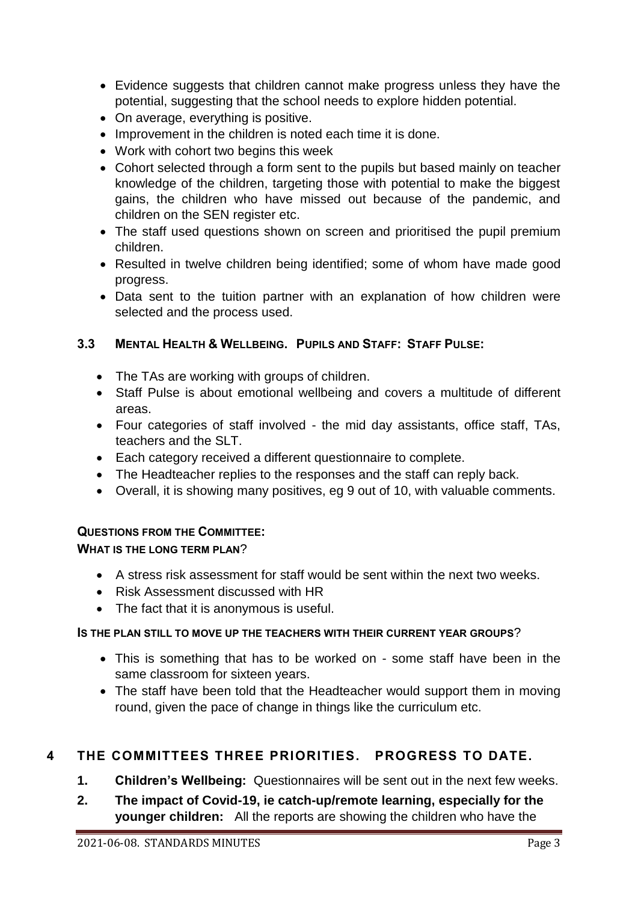- Evidence suggests that children cannot make progress unless they have the potential, suggesting that the school needs to explore hidden potential.
- On average, everything is positive.
- Improvement in the children is noted each time it is done.
- Work with cohort two begins this week
- Cohort selected through a form sent to the pupils but based mainly on teacher knowledge of the children, targeting those with potential to make the biggest gains, the children who have missed out because of the pandemic, and children on the SEN register etc.
- The staff used questions shown on screen and prioritised the pupil premium children.
- Resulted in twelve children being identified; some of whom have made good progress.
- Data sent to the tuition partner with an explanation of how children were selected and the process used.

## **3.3 MENTAL HEALTH & WELLBEING. PUPILS AND STAFF: STAFF PULSE:**

- The TAs are working with groups of children.
- Staff Pulse is about emotional wellbeing and covers a multitude of different areas.
- Four categories of staff involved the mid day assistants, office staff, TAs, teachers and the SLT.
- Each category received a different questionnaire to complete.
- The Headteacher replies to the responses and the staff can reply back.
- Overall, it is showing many positives, eg 9 out of 10, with valuable comments.

### **QUESTIONS FROM THE COMMITTEE:**

### **WHAT IS THE LONG TERM PLAN**?

- A stress risk assessment for staff would be sent within the next two weeks.
- Risk Assessment discussed with HR
- The fact that it is anonymous is useful.

### **IS THE PLAN STILL TO MOVE UP THE TEACHERS WITH THEIR CURRENT YEAR GROUPS**?

- This is something that has to be worked on some staff have been in the same classroom for sixteen years.
- The staff have been told that the Headteacher would support them in moving round, given the pace of change in things like the curriculum etc.

# **4 THE COMMITTEES THREE PRIORITIES. PROGRESS TO DATE.**

- **1. Children's Wellbeing:** Questionnaires will be sent out in the next few weeks.
- **2. The impact of Covid-19, ie catch-up/remote learning, especially for the younger children:** All the reports are showing the children who have the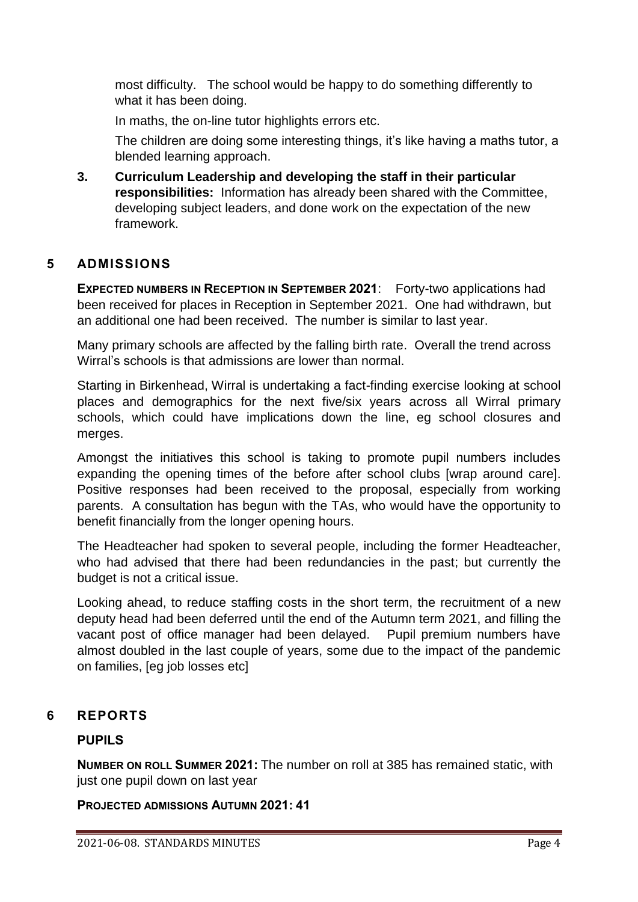most difficulty. The school would be happy to do something differently to what it has been doing.

In maths, the on-line tutor highlights errors etc.

The children are doing some interesting things, it's like having a maths tutor, a blended learning approach.

**3. Curriculum Leadership and developing the staff in their particular responsibilities:** Information has already been shared with the Committee, developing subject leaders, and done work on the expectation of the new framework.

## **5 ADMISSIONS**

**EXPECTED NUMBERS IN RECEPTION IN SEPTEMBER 2021**: Forty-two applications had been received for places in Reception in September 2021. One had withdrawn, but an additional one had been received. The number is similar to last year.

Many primary schools are affected by the falling birth rate. Overall the trend across Wirral's schools is that admissions are lower than normal.

Starting in Birkenhead, Wirral is undertaking a fact-finding exercise looking at school places and demographics for the next five/six years across all Wirral primary schools, which could have implications down the line, eg school closures and merges.

Amongst the initiatives this school is taking to promote pupil numbers includes expanding the opening times of the before after school clubs [wrap around care]. Positive responses had been received to the proposal, especially from working parents. A consultation has begun with the TAs, who would have the opportunity to benefit financially from the longer opening hours.

The Headteacher had spoken to several people, including the former Headteacher, who had advised that there had been redundancies in the past; but currently the budget is not a critical issue.

Looking ahead, to reduce staffing costs in the short term, the recruitment of a new deputy head had been deferred until the end of the Autumn term 2021, and filling the vacant post of office manager had been delayed. Pupil premium numbers have almost doubled in the last couple of years, some due to the impact of the pandemic on families, [eg job losses etc]

### **6 REPORTS**

### **PUPILS**

**NUMBER ON ROLL SUMMER 2021:** The number on roll at 385 has remained static, with just one pupil down on last year

**PROJECTED ADMISSIONS AUTUMN 2021: 41**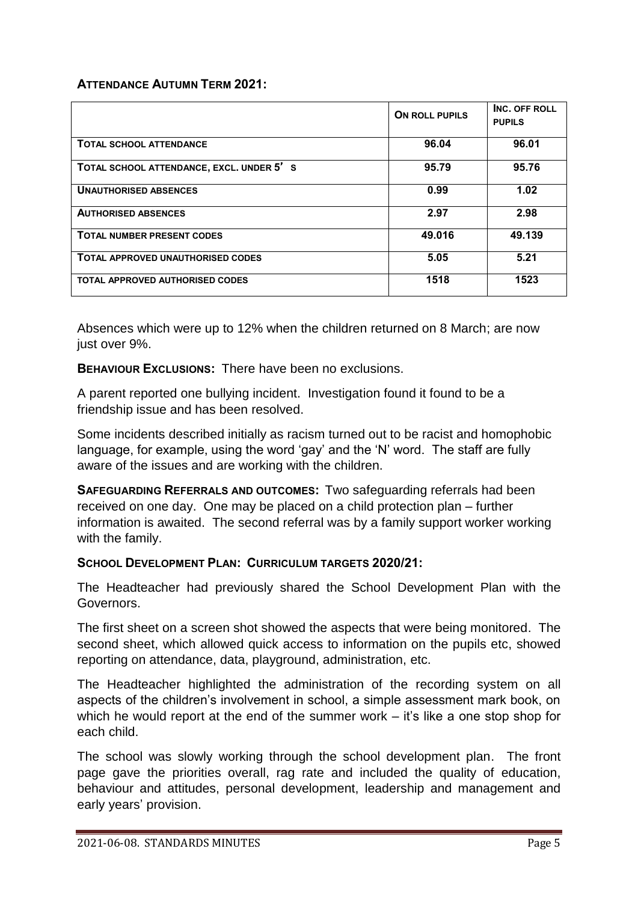#### **ATTENDANCE AUTUMN TERM 2021:**

|                                          | <b>ON ROLL PUPILS</b> | INC. OFF ROLL<br><b>PUPILS</b> |
|------------------------------------------|-----------------------|--------------------------------|
| <b>TOTAL SCHOOL ATTENDANCE</b>           | 96.04                 | 96.01                          |
| TOTAL SCHOOL ATTENDANCE, EXCL. UNDER 5'S | 95.79                 | 95.76                          |
| <b>UNAUTHORISED ABSENCES</b>             | 0.99                  | 1.02                           |
| <b>AUTHORISED ABSENCES</b>               | 2.97                  | 2.98                           |
| <b>TOTAL NUMBER PRESENT CODES</b>        | 49.016                | 49.139                         |
| TOTAL APPROVED UNAUTHORISED CODES        | 5.05                  | 5.21                           |
| <b>TOTAL APPROVED AUTHORISED CODES</b>   | 1518                  | 1523                           |

Absences which were up to 12% when the children returned on 8 March; are now just over 9%.

**BEHAVIOUR EXCLUSIONS:** There have been no exclusions.

A parent reported one bullying incident. Investigation found it found to be a friendship issue and has been resolved.

Some incidents described initially as racism turned out to be racist and homophobic language, for example, using the word 'gay' and the 'N' word. The staff are fully aware of the issues and are working with the children.

**SAFEGUARDING REFERRALS AND OUTCOMES:** Two safeguarding referrals had been received on one day. One may be placed on a child protection plan – further information is awaited. The second referral was by a family support worker working with the family.

#### **SCHOOL DEVELOPMENT PLAN: CURRICULUM TARGETS 2020/21:**

The Headteacher had previously shared the School Development Plan with the Governors.

The first sheet on a screen shot showed the aspects that were being monitored. The second sheet, which allowed quick access to information on the pupils etc, showed reporting on attendance, data, playground, administration, etc.

The Headteacher highlighted the administration of the recording system on all aspects of the children's involvement in school, a simple assessment mark book, on which he would report at the end of the summer work – it's like a one stop shop for each child.

The school was slowly working through the school development plan. The front page gave the priorities overall, rag rate and included the quality of education, behaviour and attitudes, personal development, leadership and management and early years' provision.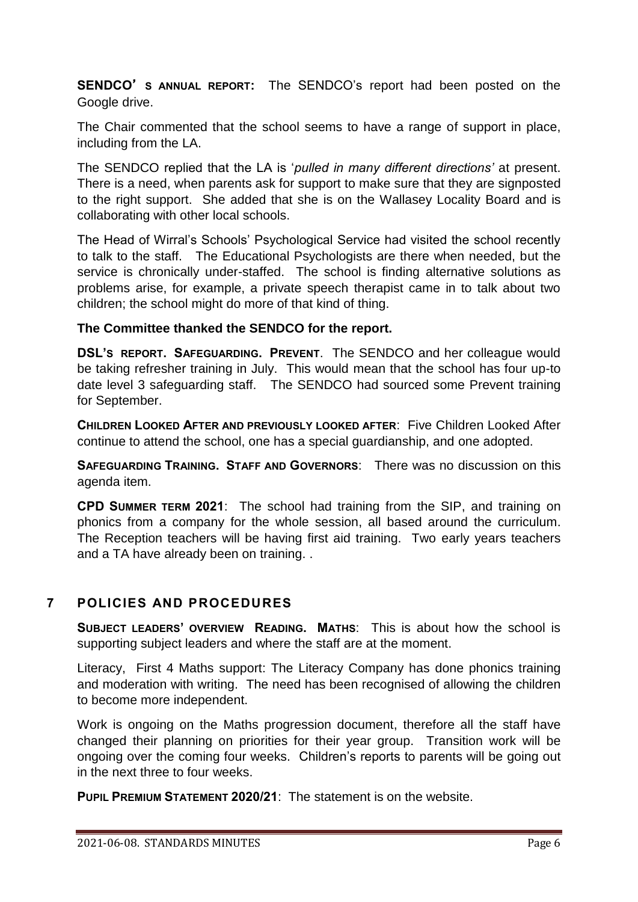**SENDCO**'**S ANNUAL REPORT:** The SENDCO's report had been posted on the Google drive.

The Chair commented that the school seems to have a range of support in place, including from the LA.

The SENDCO replied that the LA is '*pulled in many different directions'* at present. There is a need, when parents ask for support to make sure that they are signposted to the right support. She added that she is on the Wallasey Locality Board and is collaborating with other local schools.

The Head of Wirral's Schools' Psychological Service had visited the school recently to talk to the staff. The Educational Psychologists are there when needed, but the service is chronically under-staffed. The school is finding alternative solutions as problems arise, for example, a private speech therapist came in to talk about two children; the school might do more of that kind of thing.

### **The Committee thanked the SENDCO for the report.**

**DSL'S REPORT. SAFEGUARDING. PREVENT**. The SENDCO and her colleague would be taking refresher training in July. This would mean that the school has four up-to date level 3 safeguarding staff. The SENDCO had sourced some Prevent training for September.

**CHILDREN LOOKED AFTER AND PREVIOUSLY LOOKED AFTER**: Five Children Looked After continue to attend the school, one has a special guardianship, and one adopted.

**SAFEGUARDING TRAINING. STAFF AND GOVERNORS**: There was no discussion on this agenda item.

**CPD SUMMER TERM 2021**: The school had training from the SIP, and training on phonics from a company for the whole session, all based around the curriculum. The Reception teachers will be having first aid training. Two early years teachers and a TA have already been on training. .

### **7 POLICIES AND PROCEDURES**

**SUBJECT LEADERS' OVERVIEW READING. MATHS**: This is about how the school is supporting subject leaders and where the staff are at the moment.

Literacy, First 4 Maths support: The Literacy Company has done phonics training and moderation with writing. The need has been recognised of allowing the children to become more independent.

Work is ongoing on the Maths progression document, therefore all the staff have changed their planning on priorities for their year group. Transition work will be ongoing over the coming four weeks. Children's reports to parents will be going out in the next three to four weeks.

**PUPIL PREMIUM STATEMENT 2020/21**: The statement is on the website.